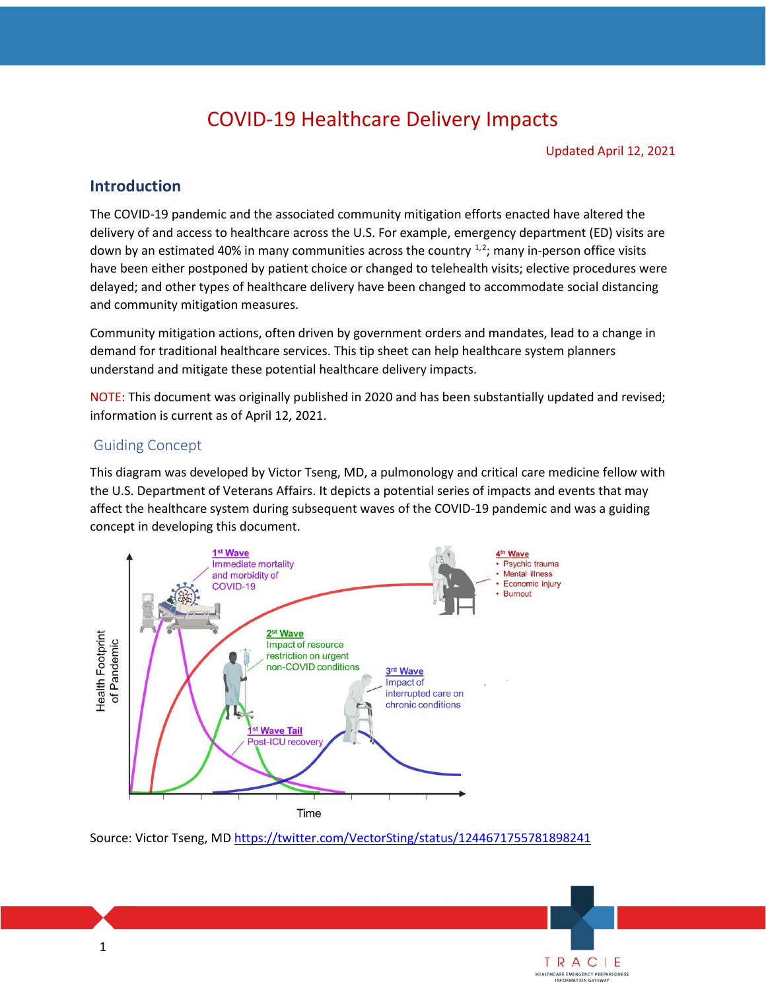# COVID-19 Healthcare Delivery Impacts

Updated April 12, 2021

**TRACI E**<br>HEALTHCARE EMERGENCY PREPAREDNESS<br>INFORMATION GATEWAY

### **Introduction**

 The COVID-19 pandemic and the associated community mitigation efforts enacted have altered the delivery of and access to healthcare across the U.S. For example, emergency department (ED) visits are down by an estimated 40% in many communities across the country  $1,2$  $1,2$  $1,2$ ; many in-person office visits have been either postponed by patient choice or changed to telehealth visits; elective procedures were and community mitigation measures. delayed; and other types of healthcare delivery have been changed to accommodate social distancing

 Community mitigation actions, often driven by government orders and mandates, lead to a change in demand for traditional healthcare services. This tip sheet can help healthcare system planners understand and mitigate these potential healthcare delivery impacts.

 NOTE: This document was originally published in 2020 and has been substantially updated and revised; information is current as of April 12, 2021.

#### Guiding Concept

 This diagram was developed by Victor Tseng, MD, a pulmonology and critical care medicine fellow with the U.S. Department of Veterans Affairs. It depicts a potential series of impacts and events that may affect the healthcare system during subsequent waves of the COVID-19 pandemic and was a guiding concept in developing this document.

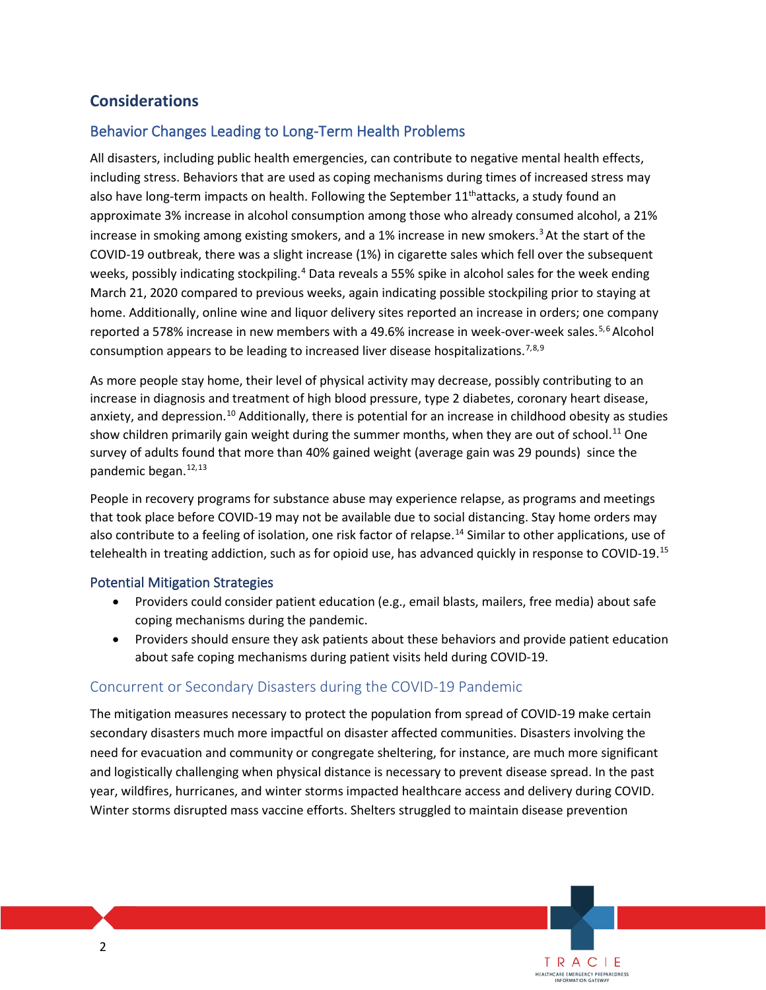### **Considerations**

### Behavior Changes Leading to Long-Term Health Problems

 including stress. Behaviors that are used as coping mechanisms during times of increased stress may approximate 3% increase in alcohol consumption among those who already consumed alcohol, a 21% COVID-19 outbreak, there was a slight increase (1%) in cigarette sales which fell over the subsequent home. Additionally, online wine and liquor delivery sites reported an increase in orders; one company All disasters, including public health emergencies, can contribute to negative mental health effects, also have long-term impacts on health. Following the September  $11<sup>th</sup>$ attacks, a study found an increase in smoking among existing smokers, and a 1% increase in new smokers.<sup>3</sup> At the start of the weeks, possibly indicating stockpiling.<sup>[4](#page-14-3)</sup> Data reveals a 55% spike in alcohol sales for the week ending March 21, 2020 compared to previous weeks, again indicating possible stockpiling prior to staying at reported a [5](#page-14-4)78% increase in new members with a 49.6% increase in week-over-week sales.<sup>5,6</sup> Alcohol consumption appears to be leading to increased liver disease hospitalizations.<sup>[7,](#page-15-1)[8,](#page-15-2)[9](#page-15-3)</sup>

 increase in diagnosis and treatment of high blood pressure, type 2 diabetes, coronary heart disease, show children primarily gain weight during the summer months, when they are out of school.<sup>11</sup> One survey of adults found that more than 40% gained weight (average gain was 29 pounds) since the As more people stay home, their level of physical activity may decrease, possibly contributing to an anxiety, and depression.<sup>[10](#page-15-4)</sup> Additionally, there is potential for an increase in childhood obesity as studies pandemic began.<sup>[12](#page-15-6),[13](#page-15-7)</sup>

 that took place before COVID-19 may not be available due to social distancing. Stay home orders may also contribute to a feeling of isolation, one risk factor of relapse.<sup>14</sup> Similar to other applications, use of telehealth in treating addiction, such as for opioid use, has advanced quickly in response to COVID-19.<sup>15</sup> People in recovery programs for substance abuse may experience relapse, as programs and meetings

#### Potential Mitigation Strategies

- Providers could consider patient education (e.g., email blasts, mailers, free media) about safe coping mechanisms during the pandemic.
- Providers should ensure they ask patients about these behaviors and provide patient education about safe coping mechanisms during patient visits held during COVID-19.

### Concurrent or Secondary Disasters during the COVID-19 Pandemic

 The mitigation measures necessary to protect the population from spread of COVID-19 make certain secondary disasters much more impactful on disaster affected communities. Disasters involving the need for evacuation and community or congregate sheltering, for instance, are much more significant and logistically challenging when physical distance is necessary to prevent disease spread. In the past year, wildfires, hurricanes, and winter storms impacted healthcare access and delivery during COVID. Winter storms disrupted mass vaccine efforts. Shelters struggled to maintain disease prevention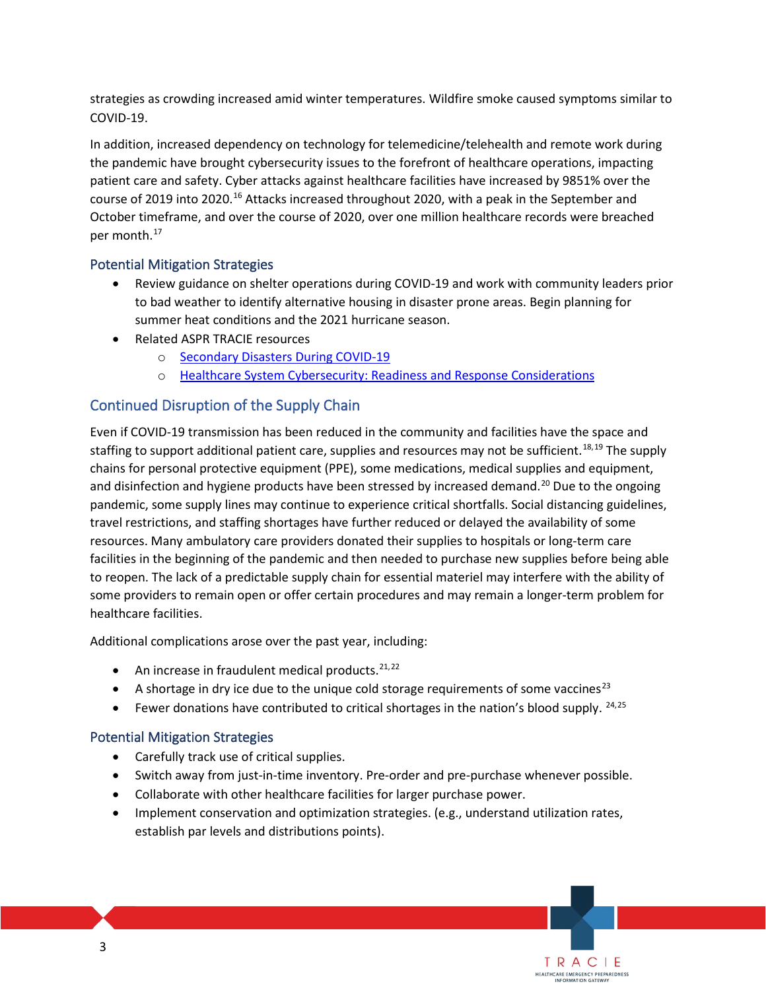strategies as crowding increased amid winter temperatures. Wildfire smoke caused symptoms similar to COVID-19.

 the pandemic have brought cybersecurity issues to the forefront of healthcare operations, impacting October timeframe, and over the course of 2020, over one million healthcare records were breached In addition, increased dependency on technology for telemedicine/telehealth and remote work during patient care and safety. Cyber attacks against healthcare facilities have increased by 9851% over the course of 2019 into 2020.<sup>16</sup> Attacks increased throughout 2020, with a peak in the September and per month. [17](#page-15-11) 

### Potential Mitigation Strategies

- Review guidance on shelter operations during COVID-19 and work with community leaders prior to bad weather to identify alternative housing in disaster prone areas. Begin planning for summer heat conditions and the 2021 hurricane season.
- • Related ASPR TRACIE resources
	- o Secondary Disasters During COVID-19
	- o Healthcare System Cybersecurity: Readiness and Response Considerations

### Continued Disruption of the Supply Chain

staffing to support additional patient care, supplies and resources may not be sufficient.<sup>[18,](#page-15-12)[19](#page-15-13)</sup> The supply pandemic, some supply lines may continue to experience critical shortfalls. Social distancing guidelines, travel restrictions, and staffing shortages have further reduced or delayed the availability of some healthcare facilities. Even if COVID-19 transmission has been reduced in the community and facilities have the space and chains for personal protective equipment (PPE), some medications, medical supplies and equipment, and disinfection and hygiene products have been stressed by increased demand.<sup>20</sup> Due to the ongoing resources. Many ambulatory care providers donated their supplies to hospitals or long-term care facilities in the beginning of the pandemic and then needed to purchase new supplies before being able to reopen. The lack of a predictable supply chain for essential materiel may interfere with the ability of some providers to remain open or offer certain procedures and may remain a longer-term problem for

healthcare facilities.<br>Additional complications arose over the past year, including:

- $\bullet$  An increase in fraudulent medical products.  $21,22$  $21,22$
- A shortage in dry ice due to the unique cold storage requirements of some vaccines<sup>[23](#page-15-17)</sup>
- Fewer donations have contributed to critical shortages in the nation's blood supply.  $24,25$  $24,25$

### Potential Mitigation Strategies

- Carefully track use of critical supplies.
- Switch away from just-in-time inventory. Pre-order and pre-purchase whenever possible.
- Collaborate with other healthcare facilities for larger purchase power.
- Implement conservation and optimization strategies. (e.g., understand utilization rates, establish par levels and distributions points).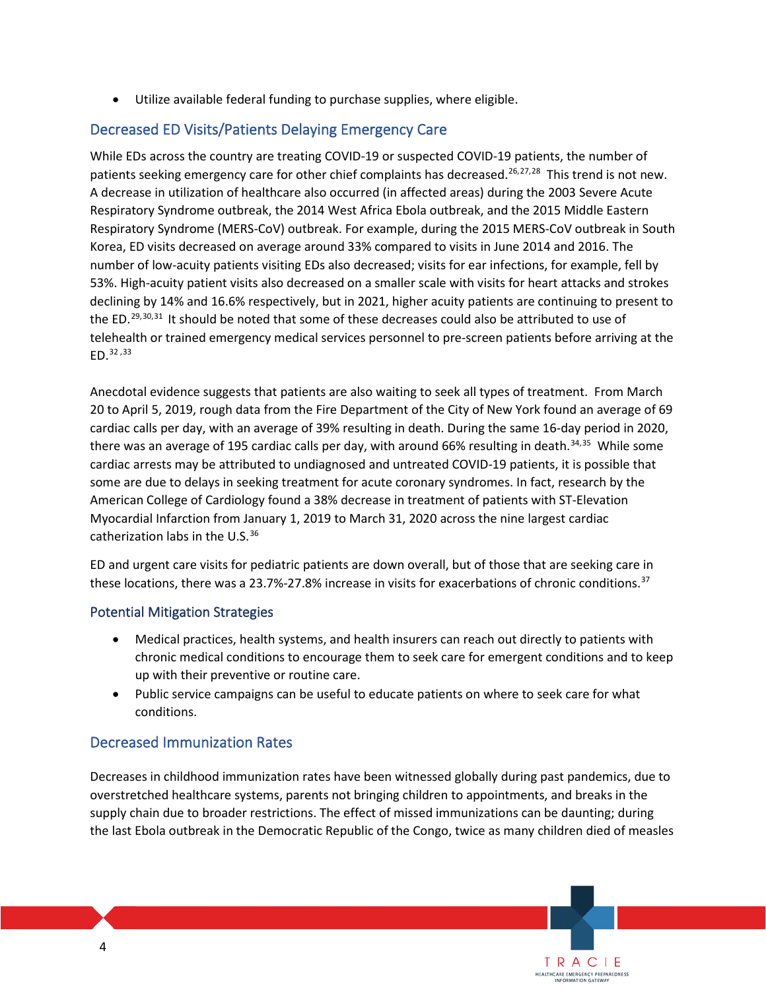• Utilize available federal funding to purchase supplies, where eligible.

### Decreased ED Visits/Patients Delaying Emergency Care

 While EDs across the country are treating COVID-19 or suspected COVID-19 patients, the number of patients seeking emergency care for other chief complaints has decreased.<sup>[26,](#page-15-20)[27,](#page-15-21)[28](#page-15-22)</sup> This trend is not new. Respiratory Syndrome (MERS-CoV) outbreak. For example, during the 2015 MERS-CoV outbreak in South Korea, ED visits decreased on average around 33% compared to visits in June 2014 and 2016. The number of low-acuity patients visiting EDs also decreased; visits for ear infections, for example, fell by 53%. High-acuity patient visits also decreased on a smaller scale with visits for heart attacks and strokes telehealth or trained emergency medical services personnel to pre-screen patients before arriving at the A decrease in utilization of healthcare also occurred (in affected areas) during the 2003 Severe Acute Respiratory Syndrome outbreak, the 2014 West Africa Ebola outbreak, and the 2015 Middle Eastern declining by 14% and 16.6% respectively, but in 2021, higher acuity patients are continuing to present to the ED.<sup>[29,](#page-15-23)[30](#page-15-24),[31](#page-15-25)</sup> It should be noted that some of these decreases could also be attributed to use of ED[.32](#page-15-26) ,[33](#page-15-27)

 Anecdotal evidence suggests that patients are also waiting to seek all types of treatment. From March 20 to April 5, 2019, rough data from the Fire Department of the City of New York found an average of 69 there was an average of 195 cardiac calls per day, with around 66% resulting in death.<sup>[34](#page-15-28),35</sup> While some cardiac arrests may be attributed to undiagnosed and untreated COVID-19 patients, it is possible that catherization labs in the U.S.<sup>36</sup> cardiac calls per day, with an average of 39% resulting in death. During the same 16-day period in 2020, some are due to delays in seeking treatment for acute coronary syndromes. In fact, research by the American College of Cardiology found a 38% decrease in treatment of patients with ST-Elevation Myocardial Infarction from January 1, 2019 to March 31, 2020 across the nine largest cardiac

 ED and urgent care visits for pediatric patients are down overall, but of those that are seeking care in these locations, there was a 23.7%-27.8% increase in visits for exacerbations of chronic conditions.<sup>37</sup>

### Potential Mitigation Strategies

- • Medical practices, health systems, and health insurers can reach out directly to patients with chronic medical conditions to encourage them to seek care for emergent conditions and to keep up with their preventive or routine care.
- Public service campaigns can be useful to educate patients on where to seek care for what conditions.

### Decreased Immunization Rates

 supply chain due to broader restrictions. The effect of missed immunizations can be daunting; during the last Ebola outbreak in the Democratic Republic of the Congo, twice as many children died of measles Decreases in childhood immunization rates have been witnessed globally during past pandemics, due to overstretched healthcare systems, parents not bringing children to appointments, and breaks in the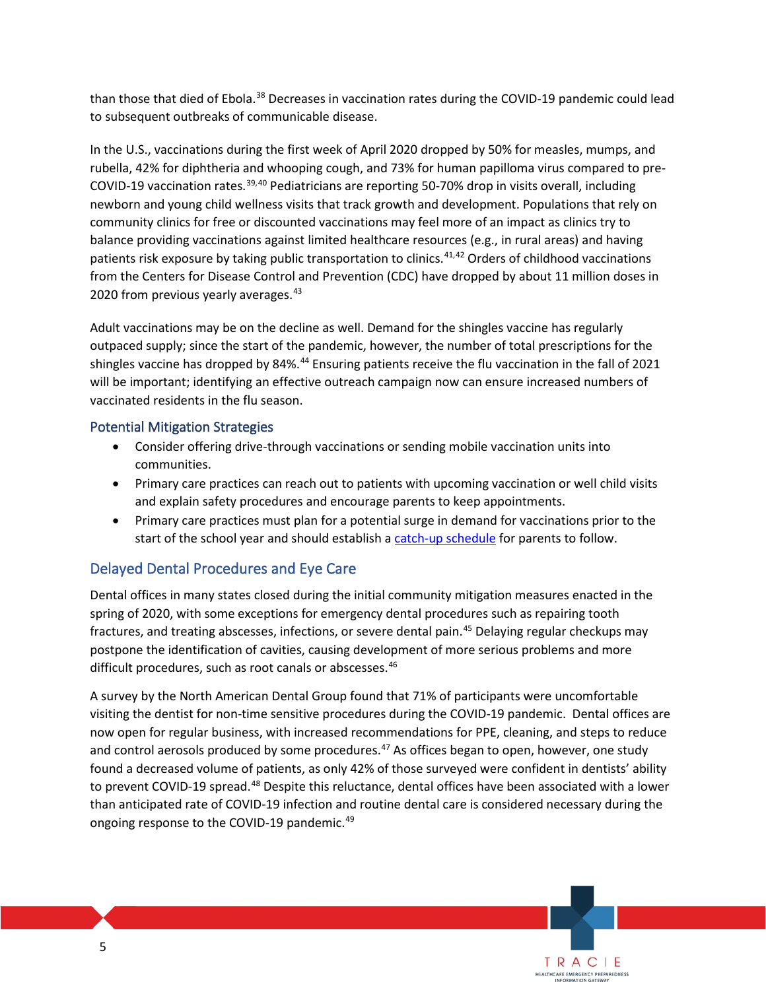to subsequent outbreaks of communicable disease. than those that died of Ebola.<sup>[38](#page-15-32)</sup> Decreases in vaccination rates during the COVID-19 pandemic could lead

 In the U.S., vaccinations during the first week of April 2020 dropped by 50% for measles, mumps, and community clinics for free or discounted vaccinations may feel more of an impact as clinics try to from the Centers for Disease Control and Prevention (CDC) have dropped by about 11 million doses in rubella, 42% for diphtheria and whooping cough, and 73% for human papilloma virus compared to pre-COVID-19 vaccination rates.<sup>[39](#page-15-33),[40](#page-15-34)</sup> Pediatricians are reporting 50-70% drop in visits overall, including newborn and young child wellness visits that track growth and development. Populations that rely on balance providing vaccinations against limited healthcare resources (e.g., in rural areas) and having patients risk exposure by taking public transportation to clinics.[41](#page-15-35)[,42](#page-16-0) Orders of childhood vaccinations 2020 from previous yearly averages. [43](#page-16-1) 

 Adult vaccinations may be on the decline as well. Demand for the shingles vaccine has regularly shingles vaccine has dropped by 84%.<sup>[44](#page-16-2)</sup> Ensuring patients receive the flu vaccination in the fall of 2021 will be important; identifying an effective outreach campaign now can ensure increased numbers of outpaced supply; since the start of the pandemic, however, the number of total prescriptions for the vaccinated residents in the flu season.

### Potential Mitigation Strategies

- Consider offering drive-through vaccinations or sending mobile vaccination units into communities.
- • Primary care practices can reach out to patients with upcoming vaccination or well child visits and explain safety procedures and encourage parents to keep appointments.
- • Primary care practices must plan for a potential surge in demand for vaccinations prior to the start of the school year and should establish a [catch-up schedule](https://www.cdc.gov/vaccines/schedules/hcp/schedule-changes.html) for parents to follow.

### Delayed Dental Procedures and Eye Care

 Dental offices in many states closed during the initial community mitigation measures enacted in the spring of 2020, with some exceptions for emergency dental procedures such as repairing tooth postpone the identification of cavities, causing development of more serious problems and more difficult procedures, such as root canals or abscesses.<sup>46</sup> fractures, and treating abscesses, infections, or severe dental pain.<sup>45</sup> Delaying regular checkups may

 visiting the dentist for non-time sensitive procedures during the COVID-19 pandemic. Dental offices are and control aerosols produced by some procedures.<sup>[47](#page-16-5)</sup> As offices began to open, however, one study to prevent COVID-19 spread.<sup>[48](#page-16-6)</sup> Despite this reluctance, dental offices have been associated with a lower than anticipated rate of COVID-19 infection and routine dental care is considered necessary during the A survey by the North American Dental Group found that 71% of participants were uncomfortable now open for regular business, with increased recommendations for PPE, cleaning, and steps to reduce found a decreased volume of patients, as only 42% of those surveyed were confident in dentists' ability ongoing response to the COVID-19 pandemic.<sup>[49](#page-16-7)</sup>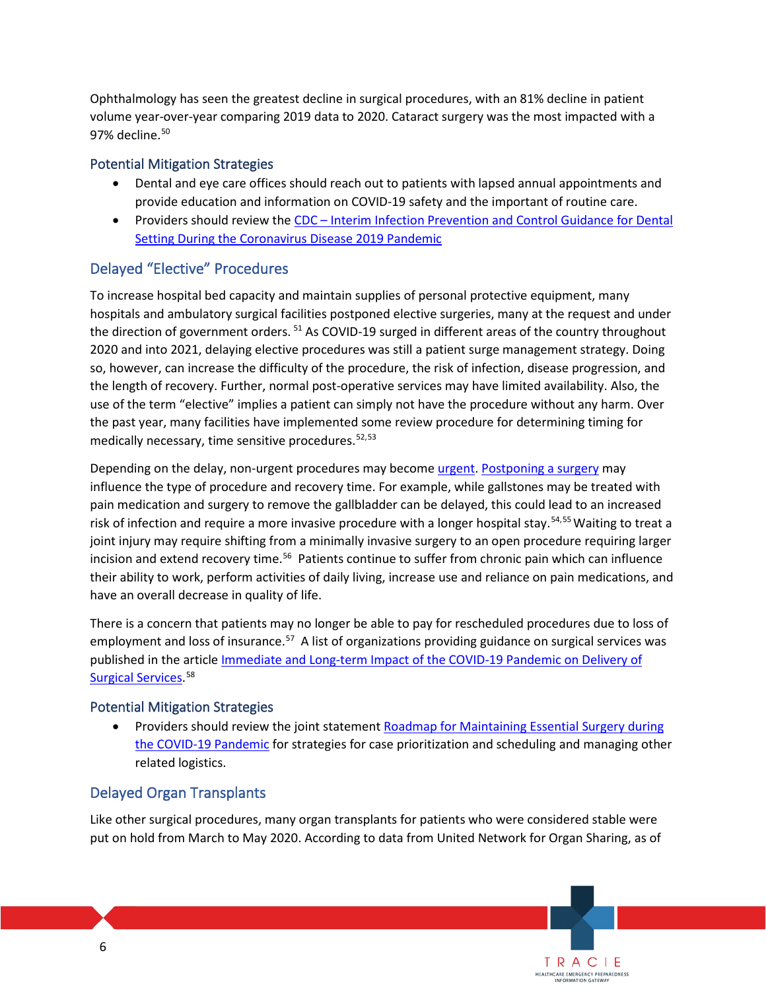Ophthalmology has seen the greatest decline in surgical procedures, with an 81% decline in patient volume year-over-year comparing 2019 data to 2020. Cataract surgery was the most impacted with a 97% decline.<sup>50</sup>

#### Potential Mitigation Strategies

- Dental and eye care offices should reach out to patients with lapsed annual appointments and provide education and information on COVID-19 safety and the important of routine care.
- Providers should review the CDC Interim Infection Prevention and Control Guidance for Dental Setting During the Coronavirus Disease 2019 Pandemic

### Delayed "Elective" Procedures

 hospitals and ambulatory surgical facilities postponed elective surgeries, many at the request and under 2020 and into 2021, delaying elective procedures was still a patient surge management strategy. Doing To increase hospital bed capacity and maintain supplies of personal protective equipment, many the direction of government orders. <sup>51</sup> As COVID-19 surged in different areas of the country throughout so, however, can increase the difficulty of the procedure, the risk of infection, disease progression, and the length of recovery. Further, normal post-operative services may have limited availability. Also, the use of the term "elective" implies a patient can simply not have the procedure without any harm. Over the past year, many facilities have implemented some review procedure for determining timing for medically necessary, time sensitive procedures. [52,](#page-16-10)[53](#page-16-11) 

 joint injury may require shifting from a minimally invasive surgery to an open procedure requiring larger incision and extend recovery time.<sup>[56](#page-16-14)</sup> Patients continue to suffer from chronic pain which can influence Depending on the delay, non-urgent procedures may become [urgent.](https://www.statnews.com/2021/01/27/waiting-for-elective-surgery-delayed-by-covid19-can-be-painful-for-orthopedic-patients/) [Postponing a surgery](https://www.healthaffairs.org/do/10.1377/hblog20201006.263687/full/) may influence the type of procedure and recovery time. For example, while gallstones may be treated with pain medication and surgery to remove the gallbladder can be delayed, this could lead to an increased risk of infection and require a more invasive procedure with a longer hospital stay.<sup>[54,](#page-16-12)55</sup> Waiting to treat a their ability to work, perform activities of daily living, increase use and reliance on pain medications, and have an overall decrease in quality of life.

 There is a concern that patients may no longer be able to pay for rescheduled procedures due to loss of employment and loss of insurance.<sup>57</sup> A list of organizations providing guidance on surgical services was published in the article *Immediate and Long-term Impact of the COVID-19 Pandemic on Delivery of* [Surgical Services.](https://bjssjournals.onlinelibrary.wiley.com/doi/10.1002/bjs.11670)<sup>58</sup>

### Potential Mitigation Strategies

[the COVID-19 Pandemic f](https://www.facs.org/covid-19/clinical-guidance/roadmap-maintain-essential-surgery)or strategies for case prioritization and scheduling and managing other related logistics. Providers should review the joint statement Roadmap for Maintaining Essential Surgery during

### Delayed Organ Transplants

 Like other surgical procedures, many organ transplants for patients who were considered stable were put on hold from March to May 2020. According to data from United Network for Organ Sharing, as of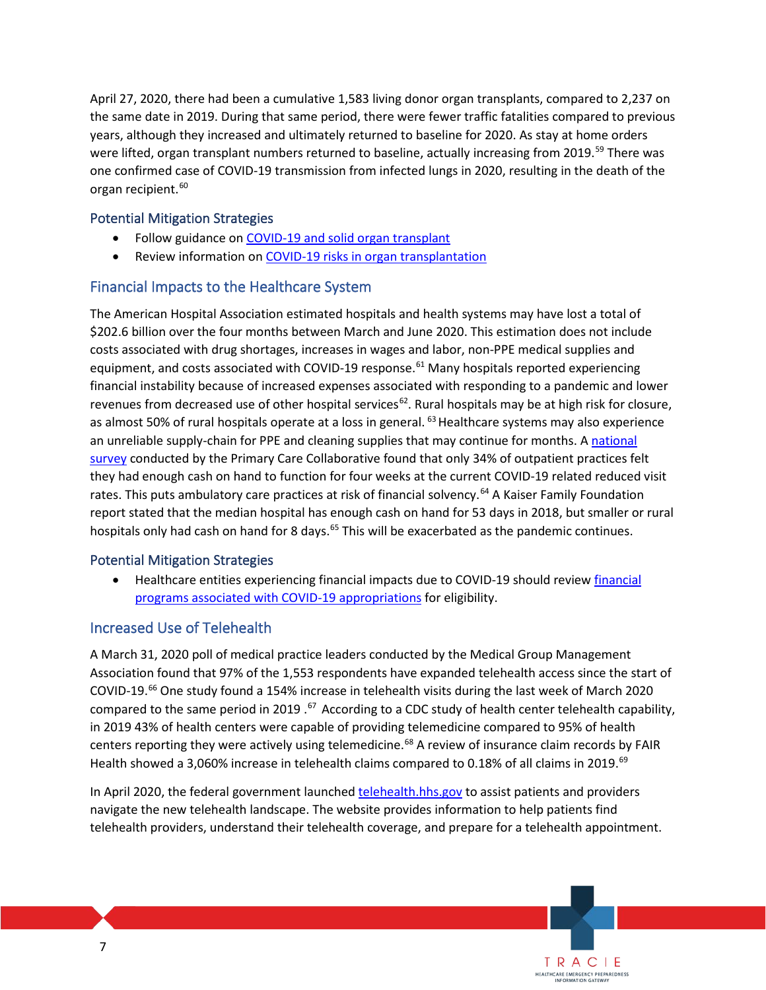April 27, 2020, there had been a cumulative 1,583 living donor organ transplants, compared to 2,237 on the same date in 2019. During that same period, there were fewer traffic fatalities compared to previous were lifted, organ transplant numbers returned to baseline, actually increasing from 2019.<sup>[59](#page-16-17)</sup> There was years, although they increased and ultimately returned to baseline for 2020. As stay at home orders one confirmed case of COVID-19 transmission from infected lungs in 2020, resulting in the death of the organ recipient. [60](#page-16-18)

### Potential Mitigation Strategies

- Follow guidance on **COVID-19 and solid organ transplant**
- Review information on COVID-19 risks in organ transplantation

### Financial Impacts to the Healthcare System

as almost 50% of rural hospitals operate at a loss in general. <sup>63</sup> Healthcare systems may also experience an unreliable supply-chain for PPE and cleaning supplies that may continue for months. A national report stated that the median hospital has enough cash on hand for 53 days in 2018, but smaller or rural hospitals only had cash on hand for 8 days.<sup>[65](#page-16-23)</sup> This will be exacerbated as the pandemic continues. The American Hospital Association estimated hospitals and health systems may have lost a total of \$202.6 billion over the four months between March and June 2020. This estimation does not include costs associated with drug shortages, increases in wages and labor, non-PPE medical supplies and equipment, and costs associated with COVID-19 response.<sup>61</sup> Many hospitals reported experiencing financial instability because of increased expenses associated with responding to a pandemic and lower revenues from decreased use of other hospital services<sup>[62](#page-16-20)</sup>. Rural hospitals may be at high risk for closure, [survey c](https://www.pcpcc.org/2020/04/01/primary-care-covid-19-week-3-survey)onducted by the Primary Care Collaborative found that only 34% of outpatient practices felt they had enough cash on hand to function for four weeks at the current COVID-19 related reduced visit rates. This puts ambulatory care practices at risk of financial solvency.<sup>[64](#page-16-22)</sup> A Kaiser Family Foundation

### Potential Mitigation Strategies

• Healthcare entities experiencing financial impacts due to COVID-19 should review financial programs associated with COVID-19 appropriations for eligibility.

### Increased Use of Telehealth

 A March 31, 2020 poll of medical practice leaders conducted by the Medical Group Management Association found that 97% of the 1,553 respondents have expanded telehealth access since the start of compared to the same period in 2019.<sup>[67](#page-16-25)</sup> According to a CDC study of health center telehealth capability, in 2019 43% of health centers were capable of providing telemedicine compared to 95% of health Health showed a 3,060% increase in telehealth claims compared to 0.18% of all claims in 2019.<sup>[69](#page-16-27)</sup> COVID-19.[66](#page-16-24) One study found a 154% increase in telehealth visits during the last week of March 2020 centers reporting they were actively using telemedicine.<sup>68</sup> A review of insurance claim records by FAIR

In April 2020, the federal government launche[d telehealth.hhs.gov](https://telehealth.hhs.gov/) to assist patients and providers navigate the new telehealth landscape. The website provides information to help patients find telehealth providers, understand their telehealth coverage, and prepare for a telehealth appointment.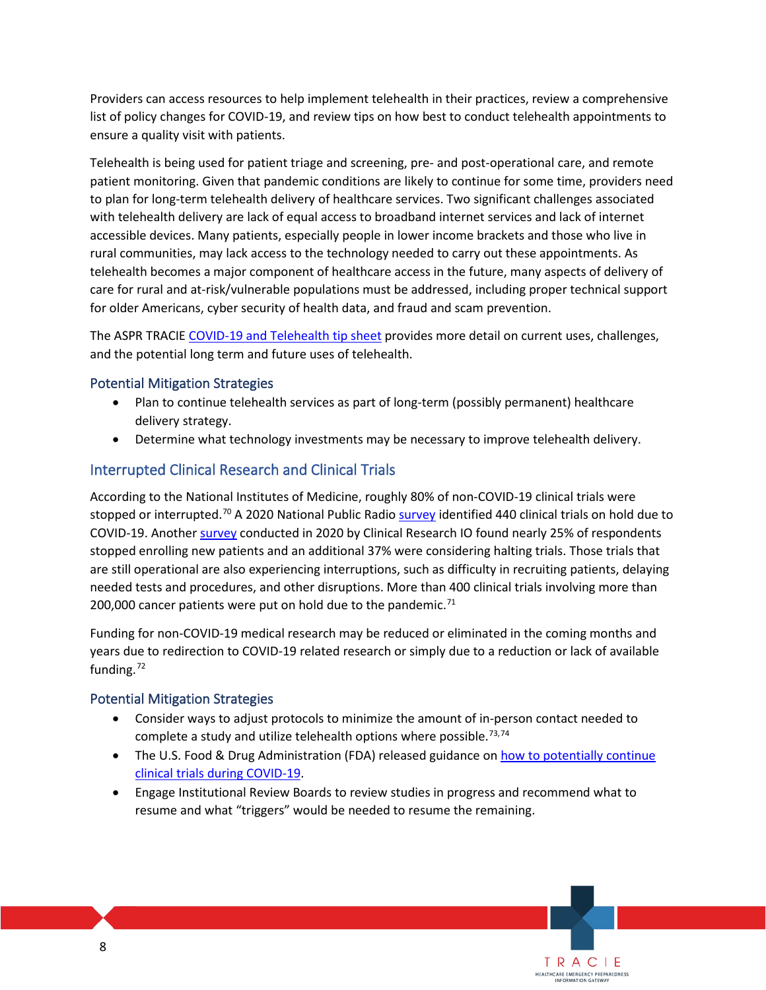list of policy changes for COVID-19, and review tips on how best to conduct telehealth appointments to ensure a quality visit with patients. Providers can access resources to help implement telehealth in their practices, review a comprehensive

 with telehealth delivery are lack of equal access to broadband internet services and lack of internet accessible devices. Many patients, especially people in lower income brackets and those who live in rural communities, may lack access to the technology needed to carry out these appointments. As telehealth becomes a major component of healthcare access in the future, many aspects of delivery of for older Americans, cyber security of health data, and fraud and scam prevention. Telehealth is being used for patient triage and screening, pre- and post-operational care, and remote patient monitoring. Given that pandemic conditions are likely to continue for some time, providers need to plan for long-term telehealth delivery of healthcare services. Two significant challenges associated care for rural and at-risk/vulnerable populations must be addressed, including proper technical support

The ASPR TRACIE [COVID-19 and Telehealth tip sheet](https://files.asprtracie.hhs.gov/documents/aspr-tracie-covid-19-and-telehealth-quick-sheet.pdf) provides more detail on current uses, challenges, and the potential long term and future uses of telehealth.

### Potential Mitigation Strategies

- • Plan to continue telehealth services as part of long-term (possibly permanent) healthcare delivery strategy.
- Determine what technology investments may be necessary to improve telehealth delivery.

### Interrupted Clinical Research and Clinical Trials

 According to the National Institutes of Medicine, roughly 80% of non-COVID-19 clinical trials were stopped or interrupted.<sup>[70](#page-16-28)</sup> A 2020 National Public Radio [survey i](https://www.npr.org/sections/health-shots/2020/04/11/832210606/coronovirus-pandemic-brings-hundreds-of-u-s-clinical-trials-to-a-halt)dentified 440 clinical trials on hold due to COVID-19. Another **survey** conducted in 2020 by Clinical Research IO found nearly 25% of respondents needed tests and procedures, and other disruptions. More than 400 clinical trials involving more than 200,000 cancer patients were put on hold due to the pandemic.<sup>71</sup> stopped enrolling new patients and an additional 37% were considering halting trials. Those trials that are still operational are also experiencing interruptions, such as difficulty in recruiting patients, delaying

 years due to redirection to COVID-19 related research or simply due to a reduction or lack of available Funding for non-COVID-19 medical research may be reduced or eliminated in the coming months and funding.<sup>[72](#page-16-30)</sup>

### Potential Mitigation Strategies

- complete a study and utilize telehealth options where possible.<sup>[73](#page-16-31),[74](#page-16-32)</sup> • Consider ways to adjust protocols to minimize the amount of in-person contact needed to
- The U.S. Food & Drug Administration (FDA) released guidance on how to potentially continue [clinical trials during COVID-19.](https://www.fda.gov/news-events/press-announcements/coronavirus-covid-19-update-fda-issues-guidance-conducting-clinical-trials)

TRACIE HEALTHCARE EMERGENCY PREPAREDNESS INFORMATION GATEWAY

 • Engage Institutional Review Boards to review studies in progress and recommend what to resume and what "triggers" would be needed to resume the remaining.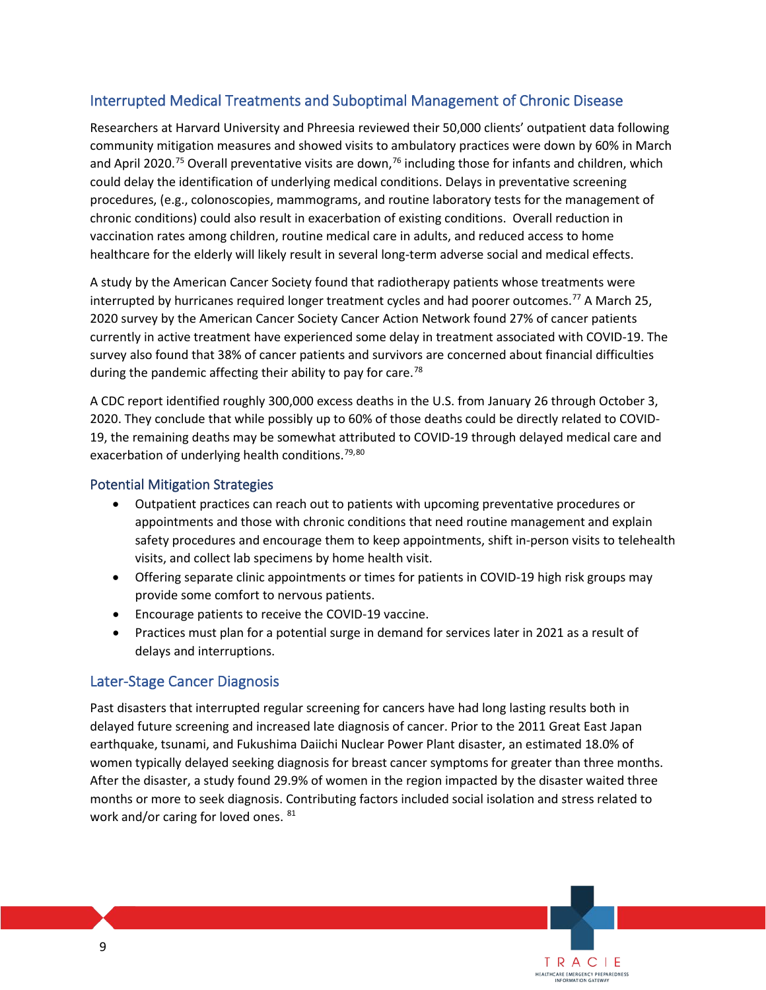### Interrupted Medical Treatments and Suboptimal Management of Chronic Disease

 community mitigation measures and showed visits to ambulatory practices were down by 60% in March procedures, (e.g., colonoscopies, mammograms, and routine laboratory tests for the management of chronic conditions) could also result in exacerbation of existing conditions. Overall reduction in healthcare for the elderly will likely result in several long-term adverse social and medical effects. Researchers at Harvard University and Phreesia reviewed their 50,000 clients' outpatient data following and April 2020.<sup>[75](#page-16-33)</sup> Overall preventative visits are down,<sup>76</sup> including those for infants and children, which could delay the identification of underlying medical conditions. Delays in preventative screening vaccination rates among children, routine medical care in adults, and reduced access to home

interrupted by hurricanes required longer treatment cycles and had poorer outcomes.<sup>77</sup> A March 25, currently in active treatment have experienced some delay in treatment associated with COVID-19. The during the pandemic affecting their ability to pay for care.<sup>[78](#page-17-0)</sup> A study by the American Cancer Society found that radiotherapy patients whose treatments were 2020 survey by the American Cancer Society Cancer Action Network found 27% of cancer patients survey also found that 38% of cancer patients and survivors are concerned about financial difficulties

 A CDC report identified roughly 300,000 excess deaths in the U.S. from January 26 through October 3, 2020. They conclude that while possibly up to 60% of those deaths could be directly related to COVID- 19, the remaining deaths may be somewhat attributed to COVID-19 through delayed medical care and exacerbation of underlying health conditions.<sup>79,80</sup>

#### Potential Mitigation Strategies

- appointments and those with chronic conditions that need routine management and explain safety procedures and encourage them to keep appointments, shift in-person visits to telehealth • Outpatient practices can reach out to patients with upcoming preventative procedures or visits, and collect lab specimens by home health visit.
- • Offering separate clinic appointments or times for patients in COVID-19 high risk groups may provide some comfort to nervous patients.
- Encourage patients to receive the COVID-19 vaccine.
- Practices must plan for a potential surge in demand for services later in 2021 as a result of delays and interruptions.

### Later-Stage Cancer Diagnosis

 earthquake, tsunami, and Fukushima Daiichi Nuclear Power Plant disaster, an estimated 18.0% of women typically delayed seeking diagnosis for breast cancer symptoms for greater than three months. After the disaster, a study found 29.9% of women in the region impacted by the disaster waited three months or more to seek diagnosis. Contributing factors included social isolation and stress related to work and/or caring for loved ones.  $81$ Past disasters that interrupted regular screening for cancers have had long lasting results both in delayed future screening and increased late diagnosis of cancer. Prior to the 2011 Great East Japan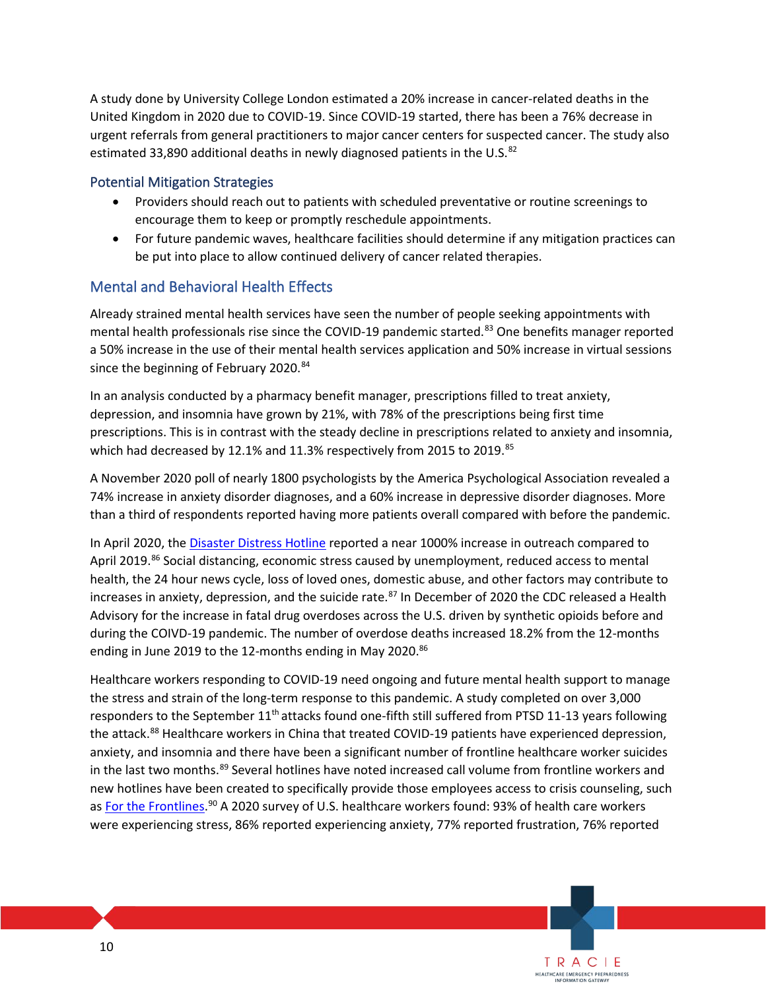A study done by University College London estimated a 20% increase in cancer-related deaths in the estimated 33,890 additional deaths in newly diagnosed patients in the U.S. $^{82}$  $^{82}$  $^{82}$ United Kingdom in 2020 due to COVID-19. Since COVID-19 started, there has been a 76% decrease in urgent referrals from general practitioners to major cancer centers for suspected cancer. The study also

### Potential Mitigation Strategies

- • Providers should reach out to patients with scheduled preventative or routine screenings to encourage them to keep or promptly reschedule appointments.
- For future pandemic waves, healthcare facilities should determine if any mitigation practices can be put into place to allow continued delivery of cancer related therapies.

### Mental and Behavioral Health Effects

 Already strained mental health services have seen the number of people seeking appointments with mental health professionals rise since the COVID-19 pandemic started.<sup>83</sup> One benefits manager reported a 50% increase in the use of their mental health services application and 50% increase in virtual sessions since the beginning of February 2020.<sup>84</sup>

In an analysis conducted by a pharmacy benefit manager, prescriptions filled to treat anxiety, depression, and insomnia have grown by 21%, with 78% of the prescriptions being first time prescriptions. This is in contrast with the steady decline in prescriptions related to anxiety and insomnia, which had decreased by 12.1% and 11.3% respectively from 2015 to 2019.<sup>[85](#page-17-7)</sup>

A November 2020 poll of nearly 1800 psychologists by the America Psychological Association revealed a 74% increase in anxiety disorder diagnoses, and a 60% increase in depressive disorder diagnoses. More than a third of respondents reported having more patients overall compared with before the pandemic.

In April 2020, the *Disaster Distress Hotline* reported a near 1000% increase in outreach compared to April 2019.<sup>[86](#page-17-8)</sup> Social distancing, economic stress caused by unemployment, reduced access to mental increases in anxiety, depression, and the suicide rate.<sup>87</sup> In December of 2020 the CDC released a Health during the COIVD-19 pandemic. The number of overdose deaths increased 18.2% from the 12-months health, the 24 hour news cycle, loss of loved ones, domestic abuse, and other factors may contribute to Advisory for the increase in fatal drug overdoses across the U.S. driven by synthetic opioids before and ending in June 2019 to the 12-months ending in May 2020.<sup>86</sup>

 Healthcare workers responding to COVID-19 need ongoing and future mental health support to manage the stress and strain of the long-term response to this pandemic. A study completed on over 3,000 anxiety, and insomnia and there have been a significant number of frontline healthcare worker suicides new hotlines have been created to specifically provide those employees access to crisis counseling, such as [For the Frontlines.](https://www.forthefrontlines.org/)<sup>90</sup> A 2020 survey of U.S. healthcare workers found: 93% of health care workers responders to the September 11<sup>th</sup> attacks found one-fifth still suffered from PTSD 11-13 years following the attack.<sup>[88](#page-17-10)</sup> Healthcare workers in China that treated COVID-19 patients have experienced depression, in the last two months.<sup>89</sup> Several hotlines have noted increased call volume from frontline workers and were experiencing stress, 86% reported experiencing anxiety, 77% reported frustration, 76% reported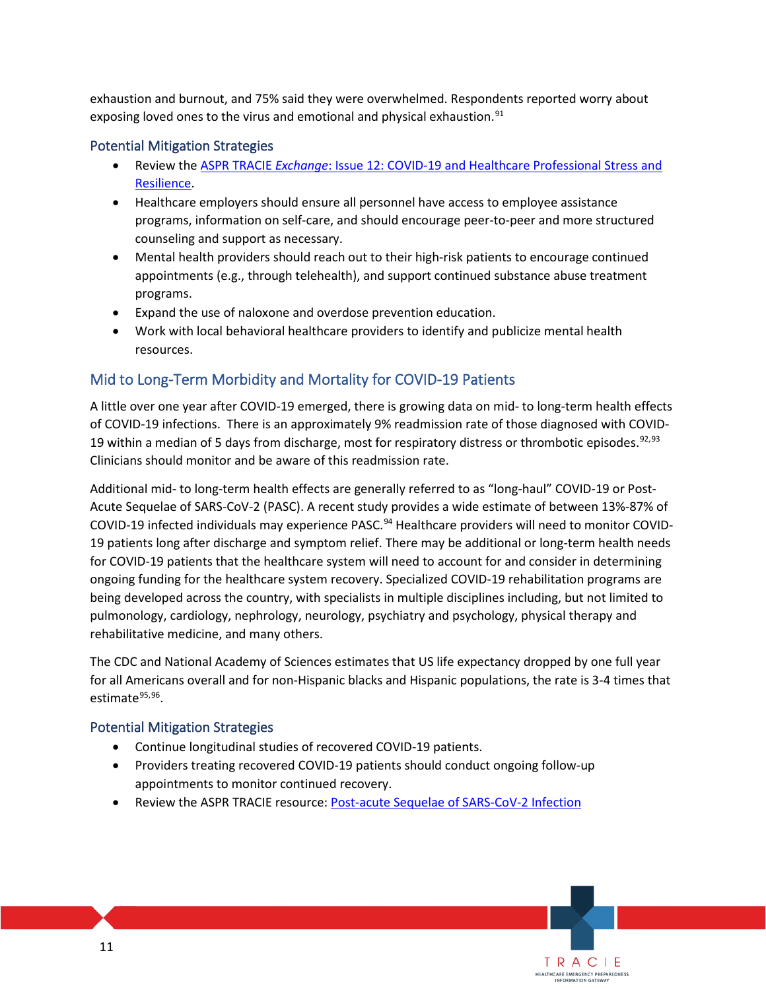exhaustion and burnout, and 75% said they were overwhelmed. Respondents reported worry about exposing loved ones to the virus and emotional and physical exhaustion.<sup>91</sup>

### Potential Mitigation Strategies

- • Review the ASPR TRACIE *Exchange*[: Issue 12: COVID-19 and Healthcare Professional Stress and](https://files.asprtracie.hhs.gov/documents/aspr-tracie-the-exchange-issue12-final.pdf)  [Resilience.](https://files.asprtracie.hhs.gov/documents/aspr-tracie-the-exchange-issue12-final.pdf)
- • Healthcare employers should ensure all personnel have access to employee assistance programs, information on self-care, and should encourage peer-to-peer and more structured counseling and support as necessary.
- • Mental health providers should reach out to their high-risk patients to encourage continued appointments (e.g., through telehealth), and support continued substance abuse treatment programs.
- Expand the use of naloxone and overdose prevention education.
- Work with local behavioral healthcare providers to identify and publicize mental health resources.

# Mid to Long-Term Morbidity and Mortality for COVID-19 Patients

 of COVID-19 infections. There is an approximately 9% readmission rate of those diagnosed with COVID-19 within a median of 5 days from discharge, most for respiratory distress or thrombotic episodes.  $92,93$  $92,93$ A little over one year after COVID-19 emerged, there is growing data on mid- to long-term health effects Clinicians should monitor and be aware of this readmission rate.

 Additional mid- to long-term health effects are generally referred to as "long-haul" COVID-19 or Post- Acute Sequelae of SARS-CoV-2 (PASC). A recent study provides a wide estimate of between 13%-87% of COVID-19 infected individuals may experience PASC.<sup>94</sup> Healthcare providers will need to monitor COVID-19 patients long after discharge and symptom relief. There may be additional or long-term health needs for COVID-19 patients that the healthcare system will need to account for and consider in determining ongoing funding for the healthcare system recovery. Specialized COVID-19 rehabilitation programs are being developed across the country, with specialists in multiple disciplines including, but not limited to pulmonology, cardiology, nephrology, neurology, psychiatry and psychology, physical therapy and rehabilitative medicine, and many others.

 The CDC and National Academy of Sciences estimates that US life expectancy dropped by one full year for all Americans overall and for non-Hispanic blacks and Hispanic populations, the rate is 3-4 times that estimate $95,96$  $95,96$ .

> TRACIE HEALTHCARE EMERGENCY PREPAREDNESS INFORMATION GATEWAY

### Potential Mitigation Strategies

- Continue longitudinal studies of recovered COVID-19 patients.
- appointments to monitor continued recovery. • Providers treating recovered COVID-19 patients should conduct ongoing follow-up
- Review the ASPR TRACIE resource[: Post-acute Sequelae of SARS-CoV-2 Infection](https://files.asprtracie.hhs.gov/documents/aspr-tracie-ta-post-acute-sequelae-of-sars-cov-2-infection.pdf)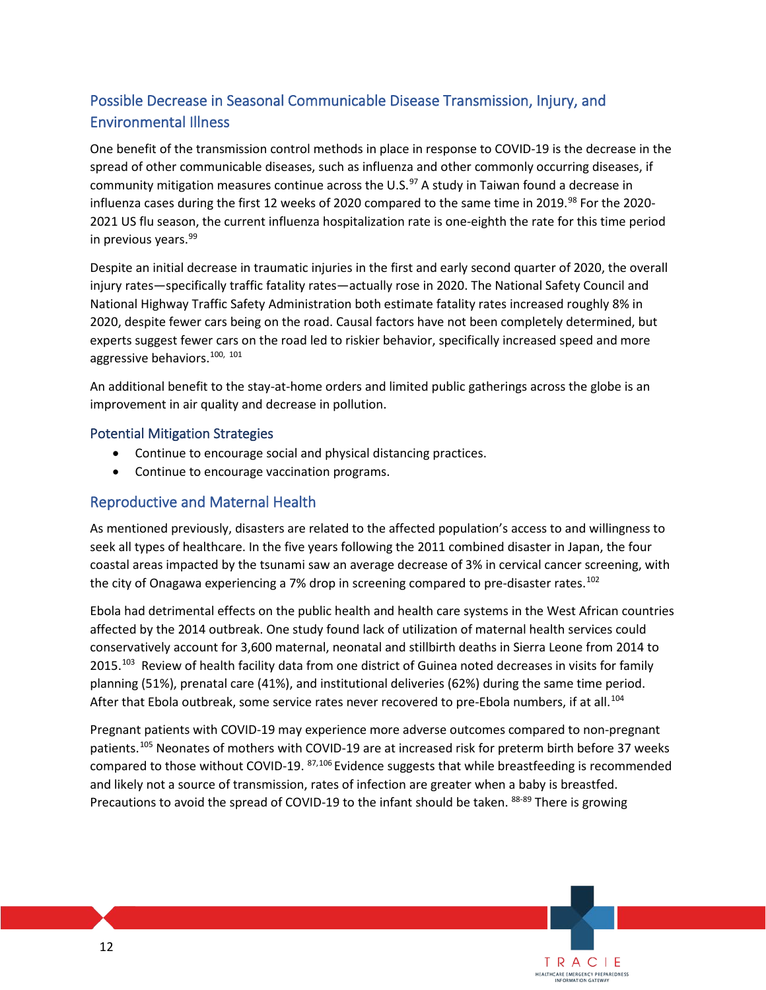# Possible Decrease in Seasonal Communicable Disease Transmission, Injury, and Environmental Illness

community mitigation measures continue across the U.S.<sup>[97](#page-17-19)</sup> A study in Taiwan found a decrease in influenza cases during the first 12 weeks of 2020 compared to the same time in 2019.<sup>[98](#page-17-20)</sup> For the 2020- 2021 US flu season, the current influenza hospitalization rate is one-eighth the rate for this time period One benefit of the transmission control methods in place in response to COVID-19 is the decrease in the spread of other communicable diseases, such as influenza and other commonly occurring diseases, if in previous years.[99](#page-17-21) 

 experts suggest fewer cars on the road led to riskier behavior, specifically increased speed and more aggressive behaviors.<sup>[100](#page-17-22), 101</sup> Despite an initial decrease in traumatic injuries in the first and early second quarter of 2020, the overall injury rates—specifically traffic fatality rates—actually rose in 2020. The National Safety Council and National Highway Traffic Safety Administration both estimate fatality rates increased roughly 8% in 2020, despite fewer cars being on the road. Causal factors have not been completely determined, but

An additional benefit to the stay-at-home orders and limited public gatherings across the globe is an improvement in air quality and decrease in pollution.

#### Potential Mitigation Strategies

- Continue to encourage social and physical distancing practices.
- Continue to encourage vaccination programs.

### Reproductive and Maternal Health

 As mentioned previously, disasters are related to the affected population's access to and willingness to coastal areas impacted by the tsunami saw an average decrease of 3% in cervical cancer screening, with seek all types of healthcare. In the five years following the 2011 combined disaster in Japan, the four the city of Onagawa experiencing a 7% drop in screening compared to pre-disaster rates.<sup>[102](#page-17-24)</sup>

 conservatively account for 3,600 maternal, neonatal and stillbirth deaths in Sierra Leone from 2014 to 2015.<sup>[103](#page-17-25)</sup> Review of health facility data from one district of Guinea noted decreases in visits for family planning (51%), prenatal care (41%), and institutional deliveries (62%) during the same time period. planning (51%), prenatal care (41%), and institutional deliveries (62%) during the same time period.<br>After that Ebola outbreak, some service rates never recovered to pre-Ebola numbers, if at all.<sup>[104](#page-17-26)</sup> Ebola had detrimental effects on the public health and health care systems in the West African countries affected by the 2014 outbreak. One study found lack of utilization of maternal health services could

 Pregnant patients with COVID-19 may experience more adverse outcomes compared to non-pregnant patients.[105](#page-17-27) Neonates of mothers with COVID-19 are at increased risk for preterm birth before 37 weeks compared to those without COVID-19. <sup>87,106</sup> Evidence suggests that while breastfeeding is recommended and likely not a source of transmission, rates of infection are greater when a baby is breastfed. Precautions to avoid the spread of COVID-19 to the infant should be taken. 88-89 There is growing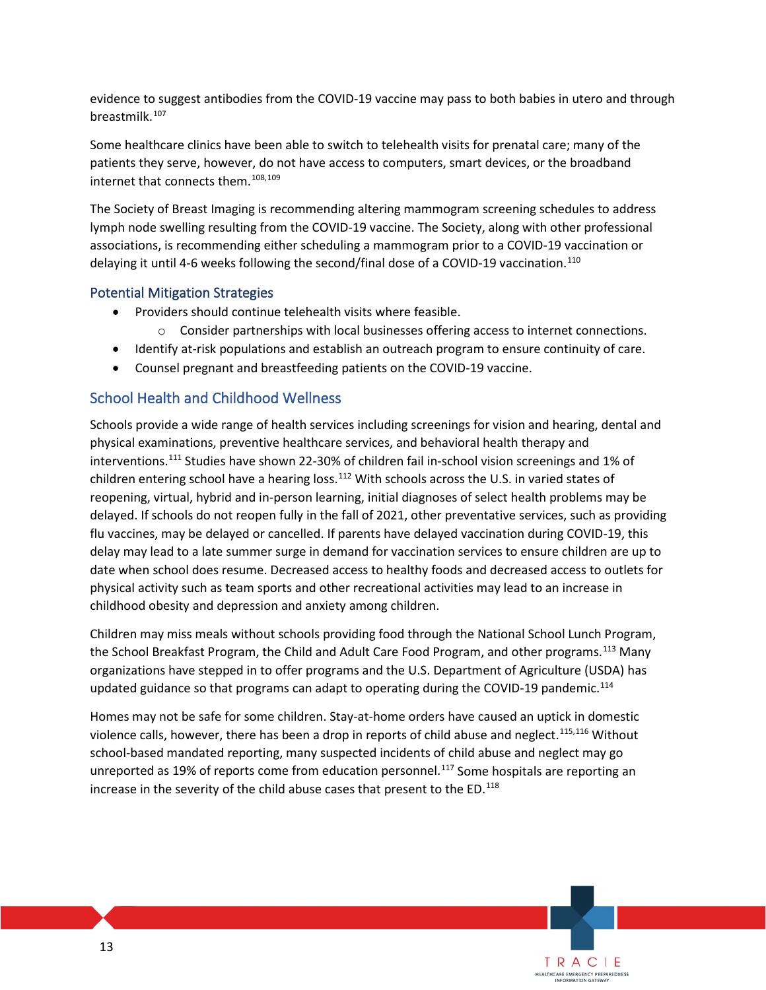evidence to suggest antibodies from the COVID-19 vaccine may pass to both babies in utero and through breastmilk. [107](#page-18-0) 

 Some healthcare clinics have been able to switch to telehealth visits for prenatal care; many of the internet that connects them. [108,](#page-18-1)[109](#page-18-2) patients they serve, however, do not have access to computers, smart devices, or the broadband

 lymph node swelling resulting from the COVID-19 vaccine. The Society, along with other professional delaying it until 4-6 weeks following the second/final dose of a COVID-19 vaccination.<sup>[110](#page-18-3)</sup> The Society of Breast Imaging is recommending altering mammogram screening schedules to address associations, is recommending either scheduling a mammogram prior to a COVID-19 vaccination or

#### Potential Mitigation Strategies

- • Providers should continue telehealth visits where feasible.
	- o Consider partnerships with local businesses offering access to internet connections.
- Identify at-risk populations and establish an outreach program to ensure continuity of care.
- Counsel pregnant and breastfeeding patients on the COVID-19 vaccine.

### School Health and Childhood Wellness

interventions.<sup>[111](#page-18-4)</sup> Studies have shown 22-30% of children fail in-school vision screenings and 1% of children entering school have a hearing loss. $112$  With schools across the U.S. in varied states of reopening, virtual, hybrid and in-person learning, initial diagnoses of select health problems may be delayed. If schools do not reopen fully in the fall of 2021, other preventative services, such as providing delay may lead to a late summer surge in demand for vaccination services to ensure children are up to date when school does resume. Decreased access to healthy foods and decreased access to outlets for physical activity such as team sports and other recreational activities may lead to an increase in Schools provide a wide range of health services including screenings for vision and hearing, dental and physical examinations, preventive healthcare services, and behavioral health therapy and flu vaccines, may be delayed or cancelled. If parents have delayed vaccination during COVID-19, this childhood obesity and depression and anxiety among children.

 Children may miss meals without schools providing food through the National School Lunch Program, the School Breakfast Program, the Child and Adult Care Food Program, and other programs.<sup>113</sup> Many organizations have stepped in to offer programs and the U.S. Department of Agriculture (USDA) has updated guidance so that programs can adapt to operating during the COVID-19 pandemic.<sup>[114](#page-18-7)</sup>

violence calls, however, there has been a drop in reports of child abuse and neglect.<sup>[115](#page-18-8),116</sup> Without school-based mandated reporting, many suspected incidents of child abuse and neglect may go Homes may not be safe for some children. Stay-at-home orders have caused an uptick in domestic unreported as 19% of reports come from education personnel.<sup>[117](#page-18-10)</sup> Some hospitals are reporting an increase in the severity of the child abuse cases that present to the  $ED.^{118}$  $ED.^{118}$  $ED.^{118}$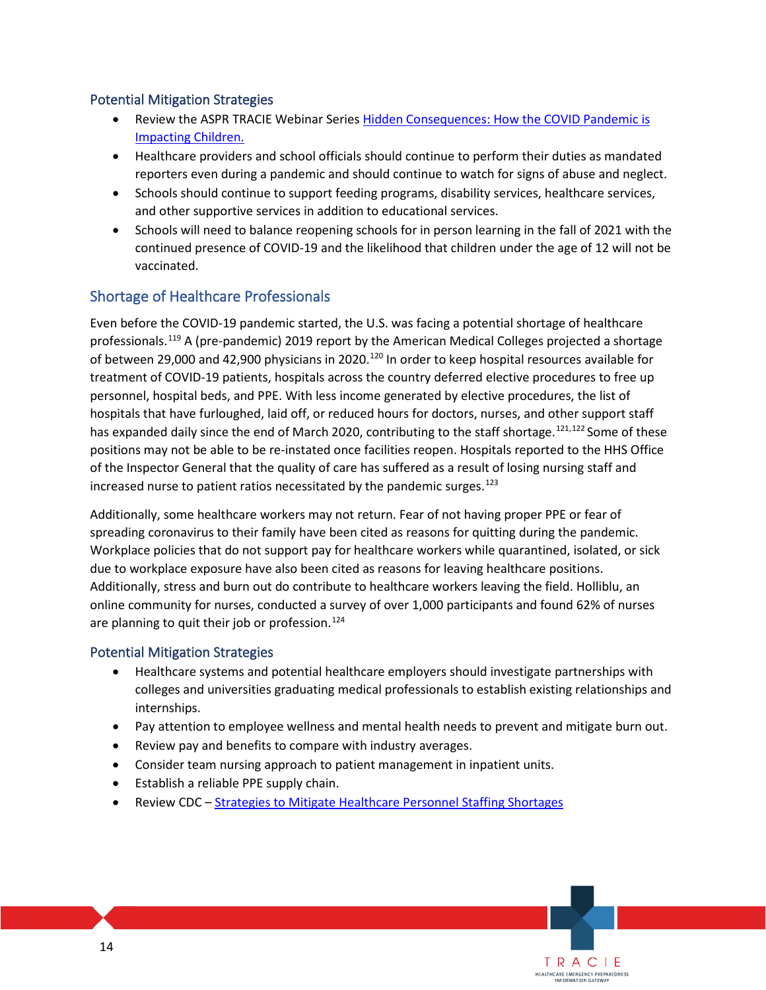### Potential Mitigation Strategies

- Review the ASPR TRACIE Webinar Series [Hidden Consequences: How the COVID Pandemic is](https://files.asprtracie.hhs.gov/documents/aspr-tracie-hidden-consequences-children-and-covid-19-webinar-series-summary.pdf)  [Impacting Children.](https://files.asprtracie.hhs.gov/documents/aspr-tracie-hidden-consequences-children-and-covid-19-webinar-series-summary.pdf)
- • Healthcare providers and school officials should continue to perform their duties as mandated reporters even during a pandemic and should continue to watch for signs of abuse and neglect.
- Schools should continue to support feeding programs, disability services, healthcare services, and other supportive services in addition to educational services.
- Schools will need to balance reopening schools for in person learning in the fall of 2021 with the continued presence of COVID-19 and the likelihood that children under the age of 12 will not be vaccinated.

### Shortage of Healthcare Professionals

 Even before the COVID-19 pandemic started, the U.S. was facing a potential shortage of healthcare has expanded daily since the end of March 2020, contributing to the staff shortage.<sup>[121](#page-18-14),122</sup> Some of these increased nurse to patient ratios necessitated by the pandemic surges. $^{123}$ professionals.[119](#page-18-12) A (pre-pandemic) 2019 report by the American Medical Colleges projected a shortage of between 29,000 and 42,900 physicians in 2020.<sup>[120](#page-18-13)</sup> In order to keep hospital resources available for treatment of COVID-19 patients, hospitals across the country deferred elective procedures to free up personnel, hospital beds, and PPE. With less income generated by elective procedures, the list of hospitals that have furloughed, laid off, or reduced hours for doctors, nurses, and other support staff positions may not be able to be re-instated once facilities reopen. Hospitals reported to the HHS Office of the Inspector General that the quality of care has suffered as a result of losing nursing staff and

 Workplace policies that do not support pay for healthcare workers while quarantined, isolated, or sick due to workplace exposure have also been cited as reasons for leaving healthcare positions. online community for nurses, conducted a survey of over 1,000 participants and found 62% of nurses Additionally, some healthcare workers may not return. Fear of not having proper PPE or fear of spreading coronavirus to their family have been cited as reasons for quitting during the pandemic. Additionally, stress and burn out do contribute to healthcare workers leaving the field. Holliblu, an are planning to quit their job or profession.<sup>124</sup>

### Potential Mitigation Strategies

- Healthcare systems and potential healthcare employers should investigate partnerships with colleges and universities graduating medical professionals to establish existing relationships and internships.
- Pay attention to employee wellness and mental health needs to prevent and mitigate burn out.

- Review pay and benefits to compare with industry averages.
- Consider team nursing approach to patient management in inpatient units.
- Establish a reliable PPE supply chain.
- Review CDC Strategies to Mitigate Healthcare Personnel Staffing Shortages • Review CDC – <u>Strategies to Mitigate Healthcare Personnel Staffing Shortages</u><br>14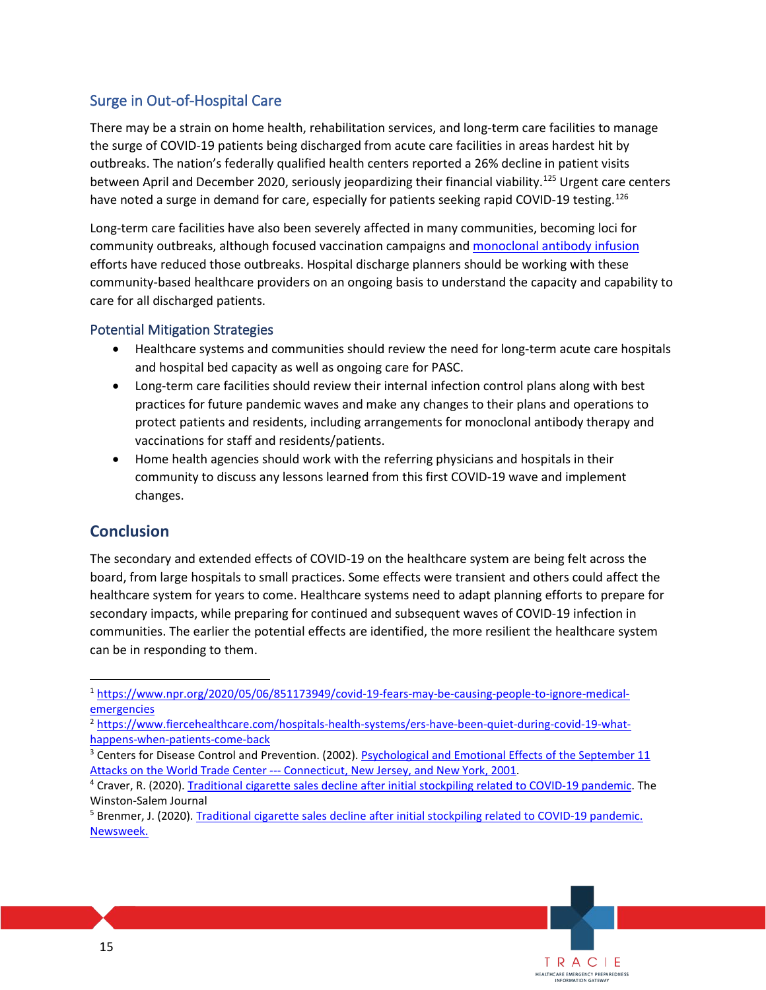# Surge in Out-of-Hospital Care

 There may be a strain on home health, rehabilitation services, and long-term care facilities to manage outbreaks. The nation's federally qualified health centers reported a 26% decline in patient visits the surge of COVID-19 patients being discharged from acute care facilities in areas hardest hit by between April and December 2020, seriously jeopardizing their financial viability.<sup>125</sup> Urgent care centers have noted a surge in demand for care, especially for patients seeking rapid COVID-19 testing.<sup>126</sup>

 efforts have reduced those outbreaks. Hospital discharge planners should be working with these community-based healthcare providers on an ongoing basis to understand the capacity and capability to Long-term care facilities have also been severely affected in many communities, becoming loci for community outbreaks, although focused vaccination campaigns and [monoclonal antibody infusion](https://files.asprtracie.hhs.gov/documents/aspr-tracie-covid-19-monoclonal-antibody-therapy-tip-sheet.pdf)  care for all discharged patients.

### Potential Mitigation Strategies

- and hospital bed capacity as well as ongoing care for PASC. • Healthcare systems and communities should review the need for long-term acute care hospitals
- practices for future pandemic waves and make any changes to their plans and operations to protect patients and residents, including arrangements for monoclonal antibody therapy and • Long-term care facilities should review their internal infection control plans along with best vaccinations for staff and residents/patients.
- Home health agencies should work with the referring physicians and hospitals in their community to discuss any lessons learned from this first COVID-19 wave and implement changes.

# **Conclusion**

 healthcare system for years to come. Healthcare systems need to adapt planning efforts to prepare for communities. The earlier the potential effects are identified, the more resilient the healthcare system can be in responding to them. The secondary and extended effects of COVID-19 on the healthcare system are being felt across the board, from large hospitals to small practices. Some effects were transient and others could affect the secondary impacts, while preparing for continued and subsequent waves of COVID-19 infection in

<span id="page-14-0"></span>[<sup>1</sup> https://www.npr.org/2020/05/06/851173949/covid-19-fears-may-be-causing-people-to-ignore-medical](https://www.npr.org/2020/05/06/851173949/covid-19-fears-may-be-causing-people-to-ignore-medical-emergencies)[emergencies](https://www.npr.org/2020/05/06/851173949/covid-19-fears-may-be-causing-people-to-ignore-medical-emergencies) 

<span id="page-14-1"></span>[<sup>2</sup> https://www.fiercehealthcare.com/hospitals-health-systems/ers-have-been-quiet-during-covid-19-what](https://www.fiercehealthcare.com/hospitals-health-systems/ers-have-been-quiet-during-covid-19-what-happens-when-patients-come-back)happens-when-patients-come-back<br><sup>3</sup> Centers for Disease Control and Prevention. (2002). Psychological and Emotional Effects of the September 11

<span id="page-14-2"></span>Attacks on the World Trade Center --- [Connecticut, New Jersey, and New York, 2001.](https://www.cdc.gov/mmwr/preview/mmwrhtml/mm5135a2.htm)<br><sup>4</sup> Craver, R. (2020). [Traditional cigarette sales decline after initial stockpiling related to COVID-19 pandemic.](https://www.journalnow.com/business/traditional-cigarette-sales-decline-after-initial-stockpiling-related-to-covid-19-pandemic/article_eecb6812-202a-5c35-b2b2-45dd388f5b68.html) The

<span id="page-14-3"></span>Winston-Salem Journal<br><sup>5</sup> Brenmer, J. (2020). Traditio[nal](https://www.newsweek.com/us-alcohol-sales-increase-55-percent-one-week-amid-coronavirus-pandemic-1495510) cigarette sales decline after initial stockpiling related to COVID-19 pandemic.

<span id="page-14-4"></span>Newsweek.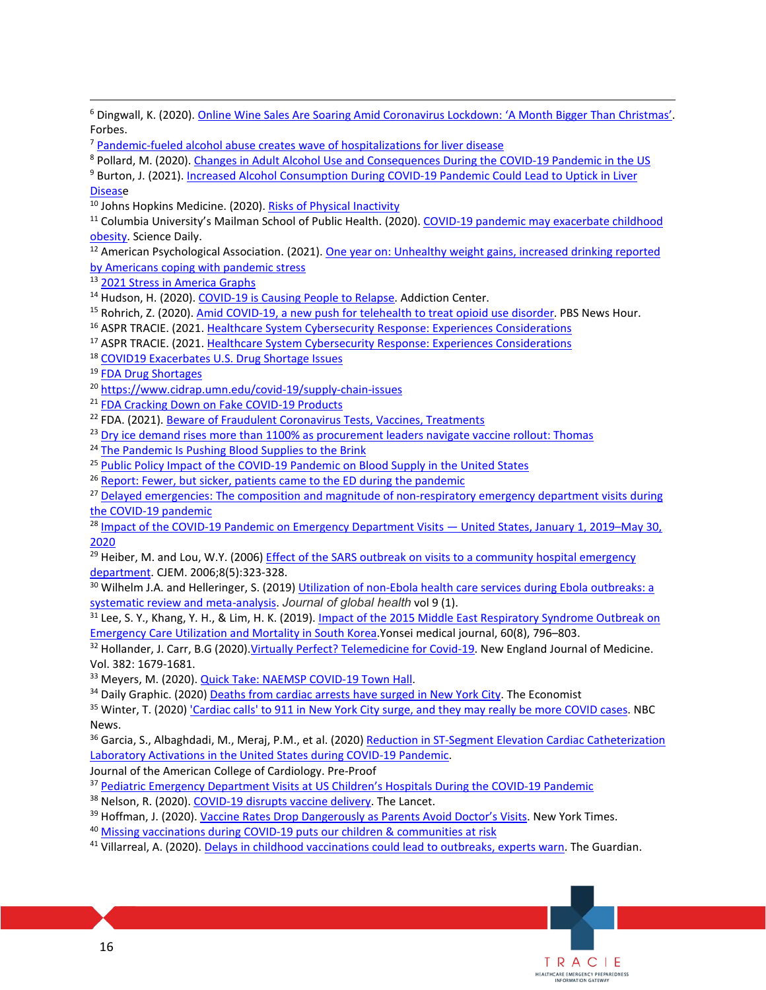<span id="page-15-35"></span><span id="page-15-34"></span><span id="page-15-33"></span><span id="page-15-32"></span><span id="page-15-31"></span><span id="page-15-30"></span><span id="page-15-29"></span><span id="page-15-28"></span><span id="page-15-27"></span><span id="page-15-26"></span><span id="page-15-25"></span><span id="page-15-24"></span><span id="page-15-23"></span><span id="page-15-22"></span><span id="page-15-21"></span><span id="page-15-20"></span><span id="page-15-19"></span><span id="page-15-18"></span><span id="page-15-17"></span><span id="page-15-16"></span><span id="page-15-15"></span><span id="page-15-14"></span><span id="page-15-13"></span><span id="page-15-12"></span><span id="page-15-11"></span><span id="page-15-10"></span><span id="page-15-9"></span><span id="page-15-8"></span><span id="page-15-7"></span><span id="page-15-6"></span><span id="page-15-5"></span><span id="page-15-4"></span><span id="page-15-3"></span><span id="page-15-2"></span><span id="page-15-1"></span><span id="page-15-0"></span>

| <sup>6</sup> Dingwall, K. (2020). Online Wine Sales Are Soaring Amid Coronavirus Lockdown: 'A Month Bigger Than Christmas'.    |
|--------------------------------------------------------------------------------------------------------------------------------|
| Forbes.                                                                                                                        |
| <sup>7</sup> Pandemic-fueled alcohol abuse creates wave of hospitalizations for liver disease                                  |
| <sup>8</sup> Pollard, M. (2020). Changes in Adult Alcohol Use and Consequences During the COVID-19 Pandemic in the US          |
| <sup>9</sup> Burton, J. (2021). Increased Alcohol Consumption During COVID-19 Pandemic Could Lead to Uptick in Liver           |
| <b>Disease</b>                                                                                                                 |
| <sup>10</sup> Johns Hopkins Medicine. (2020). Risks of Physical Inactivity                                                     |
| <sup>11</sup> Columbia University's Mailman School of Public Health. (2020). COVID-19 pandemic may exacerbate childhood        |
| obesity. Science Daily.                                                                                                        |
| <sup>12</sup> American Psychological Association. (2021). One year on: Unhealthy weight gains, increased drinking reported     |
| by Americans coping with pandemic stress                                                                                       |
| <sup>13</sup> 2021 Stress in America Graphs                                                                                    |
|                                                                                                                                |
| <sup>14</sup> Hudson, H. (2020). COVID-19 is Causing People to Relapse. Addiction Center.                                      |
| <sup>15</sup> Rohrich, Z. (2020). Amid COVID-19, a new push for telehealth to treat opioid use disorder. PBS News Hour.        |
| <sup>16</sup> ASPR TRACIE. (2021. Healthcare System Cybersecurity Response: Experiences Considerations                         |
| <sup>17</sup> ASPR TRACIE. (2021. Healthcare System Cybersecurity Response: Experiences Considerations                         |
| <sup>18</sup> COVID19 Exacerbates U.S. Drug Shortage Issues                                                                    |
| <sup>19</sup> FDA Drug Shortages                                                                                               |
| <sup>20</sup> https://www.cidrap.umn.edu/covid-19/supply-chain-issues                                                          |
| <sup>21</sup> FDA Cracking Down on Fake COVID-19 Products                                                                      |
| <sup>22</sup> FDA. (2021). Beware of Fraudulent Coronavirus Tests, Vaccines, Treatments                                        |
| <sup>23</sup> Dry ice demand rises more than 1100% as procurement leaders navigate vaccine rollout: Thomas                     |
| <sup>24</sup> The Pandemic Is Pushing Blood Supplies to the Brink                                                              |
| <sup>25</sup> Public Policy Impact of the COVID-19 Pandemic on Blood Supply in the United States                               |
| <sup>26</sup> Report: Fewer, but sicker, patients came to the ED during the pandemic                                           |
| <sup>27</sup> Delayed emergencies: The composition and magnitude of non-respiratory emergency department visits during         |
| the COVID-19 pandemic                                                                                                          |
| <sup>28</sup> Impact of the COVID-19 Pandemic on Emergency Department Visits - United States, January 1, 2019-May 30,          |
| 2020                                                                                                                           |
| <sup>29</sup> Heiber, M. and Lou, W.Y. (2006) Effect of the SARS outbreak on visits to a community hospital emergency          |
| department. CJEM. 2006;8(5):323-328.                                                                                           |
| 30 Wilhelm J.A. and Helleringer, S. (2019) Utilization of non-Ebola health care services during Ebola outbreaks: a             |
| systematic review and meta-analysis. Journal of global health vol 9 (1).                                                       |
| <sup>31</sup> Lee, S. Y., Khang, Y. H., & Lim, H. K. (2019). Impact of the 2015 Middle East Respiratory Syndrome Outbreak on   |
| Emergency Care Utilization and Mortality in South Korea Yonsei medical journal, 60(8), 796-803.                                |
| <sup>32</sup> Hollander, J. Carr, B.G (2020) Virtually Perfect? Telemedicine for Covid-19. New England Journal of Medicine.    |
| Vol. 382: 1679-1681.                                                                                                           |
| <sup>33</sup> Meyers, M. (2020). <b>Quick Take: NAEMSP COVID-19 Town Hall</b> .                                                |
| <sup>34</sup> Daily Graphic. (2020) Deaths from cardiac arrests have surged in New York City. The Economist                    |
| <sup>35</sup> Winter, T. (2020) 'Cardiac calls' to 911 in New York City surge, and they may really be more COVID cases. NBC    |
| News.                                                                                                                          |
| <sup>36</sup> Garcia, S., Albaghdadi, M., Meraj, P.M., et al. (2020) Reduction in ST-Segment Elevation Cardiac Catheterization |
| Laboratory Activations in the United States during COVID-19 Pandemic.                                                          |
| Journal of the American College of Cardiology. Pre-Proof                                                                       |
| <sup>37</sup> Pediatric Emergency Department Visits at US Children's Hospitals During the COVID-19 Pandemic                    |
|                                                                                                                                |
| <sup>38</sup> Nelson, R. (2020). COVID-19 disrupts vaccine delivery. The Lancet.                                               |
| <sup>39</sup> Hoffman, J. (2020). Vaccine Rates Drop Dangerously as Parents Avoid Doctor's Visits. New York Times.             |
| <sup>40</sup> Missing vaccinations during COVID-19 puts our children & communities at risk                                     |
| <sup>41</sup> Villarreal, A. (2020). Delays in childhood vaccinations could lead to outbreaks, experts warn. The Guardian.     |
|                                                                                                                                |
|                                                                                                                                |
|                                                                                                                                |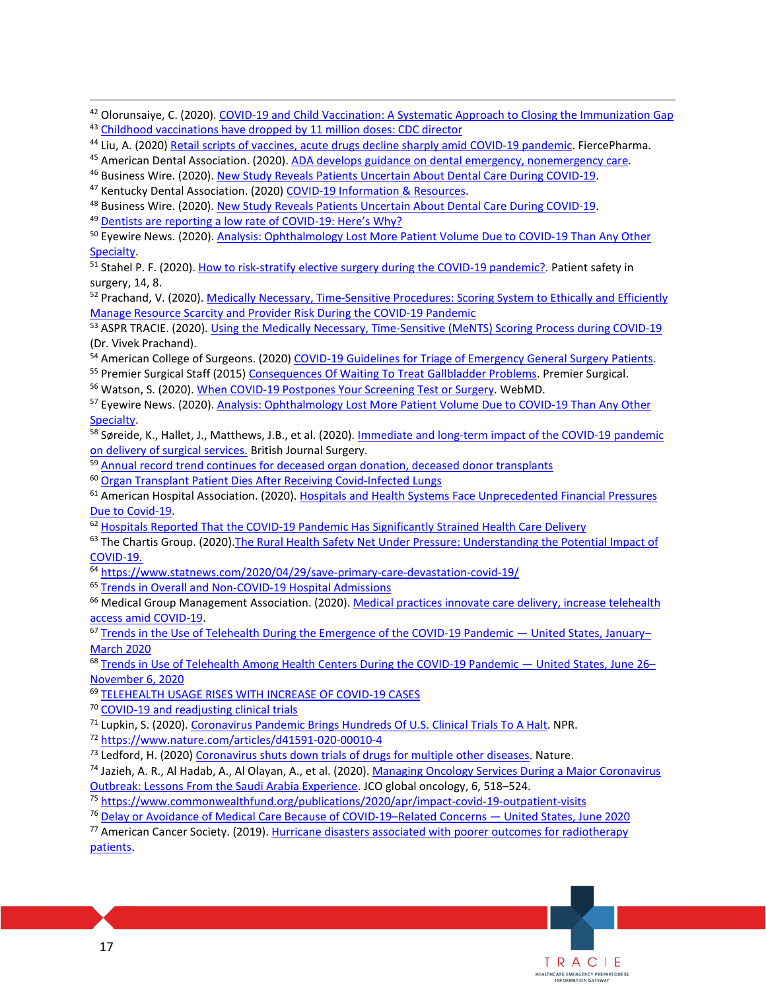<span id="page-16-35"></span><span id="page-16-34"></span><span id="page-16-33"></span><span id="page-16-32"></span><span id="page-16-31"></span><span id="page-16-30"></span><span id="page-16-29"></span><span id="page-16-28"></span><span id="page-16-27"></span><span id="page-16-26"></span><span id="page-16-25"></span><span id="page-16-24"></span><span id="page-16-23"></span><span id="page-16-22"></span><span id="page-16-21"></span><span id="page-16-20"></span><span id="page-16-19"></span><span id="page-16-18"></span><span id="page-16-17"></span><span id="page-16-16"></span><span id="page-16-15"></span><span id="page-16-14"></span><span id="page-16-13"></span><span id="page-16-12"></span><span id="page-16-11"></span><span id="page-16-10"></span><span id="page-16-9"></span><span id="page-16-8"></span><span id="page-16-7"></span><span id="page-16-6"></span><span id="page-16-5"></span><span id="page-16-4"></span><span id="page-16-3"></span><span id="page-16-2"></span><span id="page-16-1"></span><span id="page-16-0"></span>

| 43<br>Childhood vaccinations have dropped by 11 million doses: CDC director                                                                                                                                                             |
|-----------------------------------------------------------------------------------------------------------------------------------------------------------------------------------------------------------------------------------------|
| <sup>44</sup> Liu, A. (2020) Retail scripts of vaccines, acute drugs decline sharply amid COVID-19 pandemic. FiercePharma.                                                                                                              |
| 45 American Dental Association. (2020). ADA develops guidance on dental emergency, nonemergency care.                                                                                                                                   |
| <sup>46</sup> Business Wire. (2020). New Study Reveals Patients Uncertain About Dental Care During COVID-19.                                                                                                                            |
| <sup>47</sup> Kentucky Dental Association. (2020) COVID-19 Information & Resources.                                                                                                                                                     |
| <sup>48</sup> Business Wire. (2020). New Study Reveals Patients Uncertain About Dental Care During COVID-19.                                                                                                                            |
| <sup>49</sup> Dentists are reporting a low rate of COVID-19: Here's Why?                                                                                                                                                                |
| <sup>50</sup> Eyewire News. (2020). Analysis: Ophthalmology Lost More Patient Volume Due to COVID-19 Than Any Other                                                                                                                     |
| Specialty.                                                                                                                                                                                                                              |
| <sup>51</sup> Stahel P. F. (2020). How to risk-stratify elective surgery during the COVID-19 pandemic?. Patient safety in                                                                                                               |
| surgery, 14, 8.                                                                                                                                                                                                                         |
| <sup>52</sup> Prachand, V. (2020). Medically Necessary, Time-Sensitive Procedures: Scoring System to Ethically and Efficiently                                                                                                          |
| Manage Resource Scarcity and Provider Risk During the COVID-19 Pandemic                                                                                                                                                                 |
| 53 ASPR TRACIE. (2020). Using the Medically Necessary, Time-Sensitive (MeNTS) Scoring Process during COVID-19                                                                                                                           |
| (Dr. Vivek Prachand).                                                                                                                                                                                                                   |
| 54 American College of Surgeons. (2020) COVID-19 Guidelines for Triage of Emergency General Surgery Patients.                                                                                                                           |
| <sup>55</sup> Premier Surgical Staff (2015) Consequences Of Waiting To Treat Gallbladder Problems. Premier Surgical.                                                                                                                    |
| <sup>56</sup> Watson, S. (2020). When COVID-19 Postpones Your Screening Test or Surgery. WebMD.                                                                                                                                         |
| <sup>57</sup> Eyewire News. (2020). Analysis: Ophthalmology Lost More Patient Volume Due to COVID-19 Than Any Other                                                                                                                     |
| Specialty.                                                                                                                                                                                                                              |
| 58 Søreide, K., Hallet, J., Matthews, J.B., et al. (2020). Immediate and long-term impact of the COVID-19 pandemic                                                                                                                      |
| on delivery of surgical services. British Journal Surgery.                                                                                                                                                                              |
| 59 Annual record trend continues for deceased organ donation, deceased donor transplants<br><sup>60</sup> Organ Transplant Patient Dies After Receiving Covid-Infected Lungs                                                            |
|                                                                                                                                                                                                                                         |
| 61 American Hospital Association. (2020). Hospitals and Health Systems Face Unprecedented Financial Pressures                                                                                                                           |
| Due to Covid-19.<br>62 Hospitals Reported That the COVID-19 Pandemic Has Significantly Strained Health Care Delivery                                                                                                                    |
| 63 The Chartis Group. (2020). The Rural Health Safety Net Under Pressure: Understanding the Potential Impact of                                                                                                                         |
| COVID-19.                                                                                                                                                                                                                               |
| 64 https://www.statnews.com/2020/04/29/save-primary-care-devastation-covid-19/                                                                                                                                                          |
| <sup>65</sup> Trends in Overall and Non-COVID-19 Hospital Admissions                                                                                                                                                                    |
| <sup>66</sup> Medical Group Management Association. (2020). Medical practices innovate care delivery, increase telehealth                                                                                                               |
| access amid COVID-19.                                                                                                                                                                                                                   |
| 67 Trends in the Use of Telehealth During the Emergence of the COVID-19 Pandemic — United States, January-                                                                                                                              |
| <b>March 2020</b>                                                                                                                                                                                                                       |
| 68 Trends in Use of Telehealth Among Health Centers During the COVID-19 Pandemic - United States, June 26-                                                                                                                              |
| <b>November 6, 2020</b>                                                                                                                                                                                                                 |
| 69 TELEHEALTH USAGE RISES WITH INCREASE OF COVID-19 CASES                                                                                                                                                                               |
| <sup>70</sup> COVID-19 and readjusting clinical trials                                                                                                                                                                                  |
| 71 Lupkin, S. (2020). Coronavirus Pandemic Brings Hundreds Of U.S. Clinical Trials To A Halt. NPR.                                                                                                                                      |
| 72 https://www.nature.com/articles/d41591-020-00010-4                                                                                                                                                                                   |
| <sup>73</sup> Ledford, H. (2020) Coronavirus shuts down trials of drugs for multiple other diseases. Nature.                                                                                                                            |
| 74 Jazieh, A. R., Al Hadab, A., Al Olayan, A., et al. (2020). Managing Oncology Services During a Major Coronavirus                                                                                                                     |
| Outbreak: Lessons From the Saudi Arabia Experience. JCO global oncology, 6, 518-524.                                                                                                                                                    |
|                                                                                                                                                                                                                                         |
|                                                                                                                                                                                                                                         |
| <sup>75</sup> https://www.commonwealthfund.org/publications/2020/apr/impact-covid-19-outpatient-visits                                                                                                                                  |
| <sup>76</sup> Delay or Avoidance of Medical Care Because of COVID-19-Related Concerns - United States, June 2020<br><sup>77</sup> American Cancer Society. (2019). Hurricane disasters associated with poorer outcomes for radiotherapy |
| patients.                                                                                                                                                                                                                               |
|                                                                                                                                                                                                                                         |
|                                                                                                                                                                                                                                         |
|                                                                                                                                                                                                                                         |
|                                                                                                                                                                                                                                         |

<sup>42</sup> Olorunsaiye, C. (2020). COVID-19 and Child Vaccination: A Systematic Approach to Closing the Immunization Gap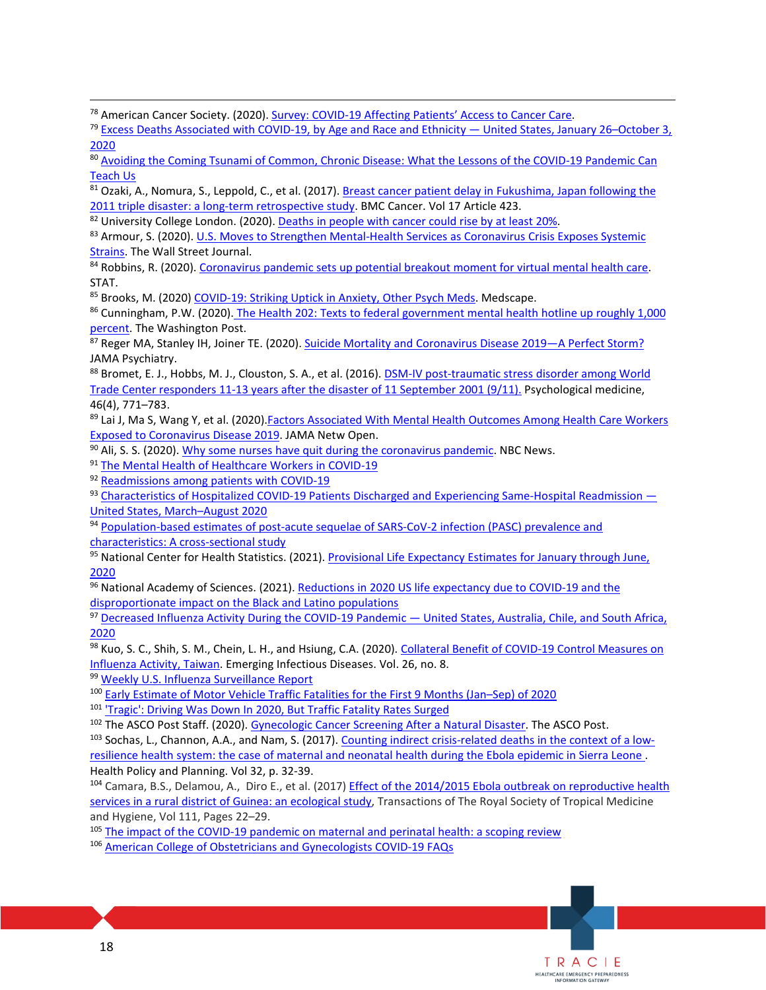<span id="page-17-0"></span><sup>78</sup> American Cancer Society. (2020). Survey: COVID-19 Affecting Patients' Access to Cancer Care.<br><sup>79</sup> Excess Deaths Associated with COVID-19, by Age and Race and Ethnicity — United States, January 26–October 3,

<span id="page-17-1"></span>[2020](https://www.cdc.gov/mmwr/volumes/69/wr/mm6942e2.htm?s_cid=mm6942e2_w) 

<span id="page-17-2"></span>80 [Avoiding the Coming Tsunami of Common, Chronic Disease: What the Lessons of the COVID-19 Pandemic Can](https://www.ahajournals.org/doi/pdf/10.1161/CIRCULATIONAHA.121.053461)  [Teach Us](https://www.ahajournals.org/doi/pdf/10.1161/CIRCULATIONAHA.121.053461) 

<span id="page-17-3"></span><sup>81</sup> Ozaki, A., Nomura, S., Leppold, C., et al. (2017). Breast cancer patient delay in Fukushima, Japan following the<br>2011 triple disaster: a long-term retrospective study. BMC Cancer. Vol 17 Article 423.

<span id="page-17-5"></span><span id="page-17-4"></span><sup>82</sup> University College London. (2020)[. Deaths in people with cancer could rise by at least 20%.](https://www.ucl.ac.uk/news/2020/apr/deaths-people-cancer-could-rise-least-20)<br><sup>83</sup> Armour, S. (2020). U.S. Moves to Strengthen Mental-Health Services as Coronavirus Crisis Exposes Systemic [Strains.](https://www.wsj.com/articles/u-s-moves-to-strengthen-mental-health-services-as-coronavirus-crisis-exposes-systemic-strains-11586520146) The Wall Street Journal.<br><sup>84</sup> Robbins, R. (2020). Coronavirus pandemic sets up potential breakout moment for virtual mental health care.

<span id="page-17-6"></span>STAT.

<span id="page-17-7"></span>85 Brooks, M. (2020) COVID-19: Striking Uptick in Anxiety, Other Psych Meds. Medscape.

<span id="page-17-8"></span><sup>86</sup> Cunningham, P.W. (2020). The Health 202: Texts to federal government mental health hotline up roughly 1,000 [percent.](https://www.washingtonpost.com/news/powerpost/paloma/the-health-202/2020/05/04/the-health-202-texts-to-federal-government-mental-health-hotline-up-roughly-1-000-percent/5eaae16c602ff15fb0021568/) The Washington Post.<br><sup>87</sup> Reger MA, Stanley IH, Joiner TE. (2020). Suicide Mortality and Coronavirus Disease 2019—A Perfect Storm?

<span id="page-17-9"></span>JAMA Psychiatry.

<span id="page-17-10"></span>88 Bromet, E. J., Hobbs, M. J., Clouston, S. A., et al. (2016). **DSM-IV post-traumatic stress disorder among World** [Trade Center responders 11-13 years after the disaster of 11 September 2001 \(9/11\).](https://www.ncbi.nlm.nih.gov/pmc/articles/PMC4754831/) Psychological medicine, 46(4), 771–783.<br><sup>89</sup> Lai J, Ma S, Wang Y, et al. (2020).Factors Associated With Mental Health Outcomes Among Health Care Workers

<span id="page-17-11"></span>[Exposed to Coronavirus Disease 2019.](https://jamanetwork.com/journals/jamanetworkopen/fullarticle/2763229) JAMA Netw Open.<br><sup>90</sup> Ali, S. S. (2020). <u>Why some nurses have quit during the coronavirus pandemic</u>. NBC News.<br><sup>91</sup> The Mental Health of Healthcare Workers in COVID-19<br><sup>92</sup> Readmission

<span id="page-17-12"></span>

<span id="page-17-13"></span>

<span id="page-17-15"></span><span id="page-17-14"></span>United States, March–August 2020<br><sup>94</sup> Population-based estimates of post-acute sequelae of SARS-CoV-2 infection (PASC) prevalence and

<span id="page-17-16"></span>

<span id="page-17-17"></span>characteristics: A cross-sectional study<br><sup>95</sup> National Center for Health Statistics. (2021). Provisional Life Expectancy Estimates for January through June, [2020](https://www.cdc.gov/nchs/data/vsrr/VSRR10-508.pdf) 

<span id="page-17-18"></span>96 National Academy of Sciences. (2021). Reductions in 2020 US life expectancy due to COVID-19 and the [disproportionate impact on the Black and Latino populations](https://www.pnas.org/content/118/5/e2014746118) 

<span id="page-17-19"></span>97 Decreased Influenza Activity During the COVID-19 Pandemic — United States, Australia, Chile, and South Africa, [2020](https://www.cdc.gov/mmwr/volumes/69/wr/mm6937a6.htm) 

<span id="page-17-20"></span>98 Kuo, S. C., Shih, S. M., Chein, L. H., and Hsiung, C.A. (2020). Collateral Benefit of COVID-19 Control Measures on [Influenza Activity, Taiwan.](https://wwwnc.cdc.gov/eid/article/26/8/20-1192_article) Emerging Infectious Diseases. Vol. 26, no. 8.<br><sup>99</sup> Weekly U.S. Influenza Surveillance Report<br><sup>100</sup> Early Estimate of Motor Vehicle Traffic Fatalities for the First 9 Months (Jan-Sep) of 2020<br><sup>10</sup>

<span id="page-17-21"></span>

<span id="page-17-22"></span>

<span id="page-17-23"></span>

<span id="page-17-25"></span><span id="page-17-24"></span>[resilience health system: the case of maternal and neonatal health during the Ebola epidemic in Sierra Leone .](https://academic.oup.com/heapol/article/32/suppl_3/iii32/4621472)

<span id="page-17-26"></span>[services in a rural district of Guinea: an ecological study,](https://academic.oup.com/trstmh/article/111/1/22/3074506) Transactions of The Royal Society of Tropical Medicine Health Policy and Planning. Vol 32, p. 32-39.<br><sup>104</sup> Camara, B.S., Delamou, A., Diro E., et al. (2017) Effect of the 2014/2015 Ebola outbreak on reproductive health

> TRACIE HEALTHCARE EMERGENCY PREPAREDNESS<br>INFORMATION GATEWAY

<span id="page-17-27"></span>and Hygiene, Vol 111, Pages 22–29.<br><sup>105</sup> [The impact of the COVID-19 pandemic on maternal and perinatal health: a scoping review](https://reproductive-health-journal.biomedcentral.com/articles/10.1186/s12978-021-01070-6) <sup>106</sup> American College of Obstetricians and Gynecologists COVID-19 FAQs

<span id="page-17-28"></span>